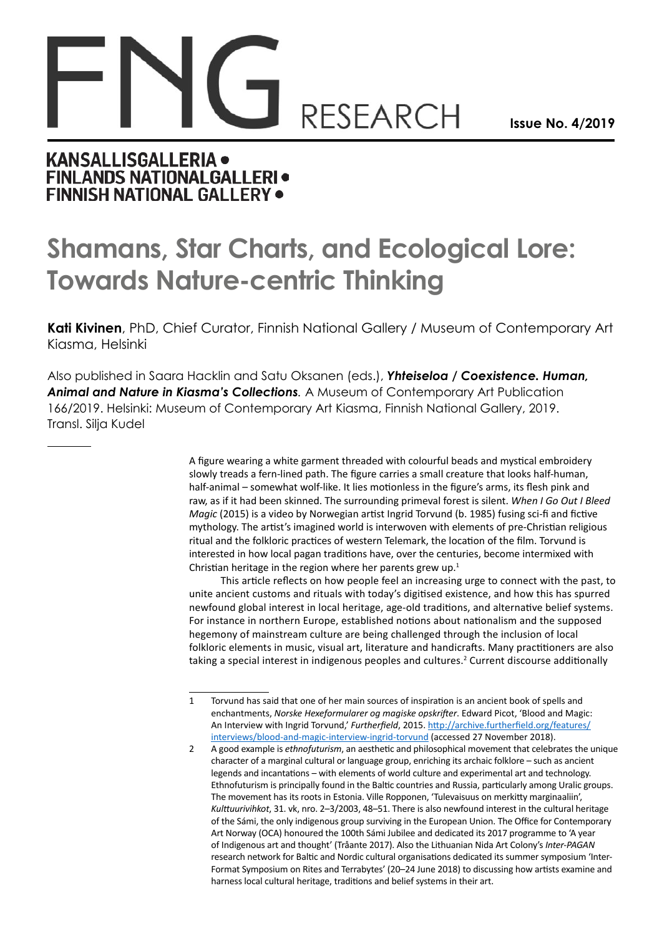# **RESEARCH**

**Issue No. 4/2019**

### **KANSALLISGALLERIA . FINLANDS NATIONALGALLERI · FINNISH NATIONAL GALLERY .**

## **Shamans, Star Charts, and Ecological Lore: Towards Nature-centric Thinking**

**Kati Kivinen**, PhD, Chief Curator, Finnish National Gallery / Museum of Contemporary Art Kiasma, Helsinki

Also published in Saara Hacklin and Satu Oksanen (eds.), *Yhteiseloa / Coexistence. Human, Animal and Nature in Kiasma's Collections.* A Museum of Contemporary Art Publication 166/2019. Helsinki: Museum of Contemporary Art Kiasma, Finnish National Gallery, 2019. Transl. Silja Kudel

> A figure wearing a white garment threaded with colourful beads and mystical embroidery slowly treads a fern-lined path. The figure carries a small creature that looks half-human, half-animal – somewhat wolf-like. It lies motionless in the figure's arms, its flesh pink and raw, as if it had been skinned. The surrounding primeval forest is silent. *When I Go Out I Bleed Magic* (2015) is a video by Norwegian artist Ingrid Torvund (b. 1985) fusing sci-fi and fictive mythology. The artist's imagined world is interwoven with elements of pre-Christian religious ritual and the folkloric practices of western Telemark, the location of the film. Torvund is interested in how local pagan traditions have, over the centuries, become intermixed with Christian heritage in the region where her parents grew up.<sup>1</sup>

This article reflects on how people feel an increasing urge to connect with the past, to unite ancient customs and rituals with today's digitised existence, and how this has spurred newfound global interest in local heritage, age-old traditions, and alternative belief systems. For instance in northern Europe, established notions about nationalism and the supposed hegemony of mainstream culture are being challenged through the inclusion of local folkloric elements in music, visual art, literature and handicrafts. Many practitioners are also taking a special interest in indigenous peoples and cultures.<sup>2</sup> Current discourse additionally

<sup>1</sup> Torvund has said that one of her main sources of inspiration is an ancient book of spells and enchantments, *Norske Hexeformularer og magiske opskrifter*. Edward Picot, 'Blood and Magic: An Interview with Ingrid Torvund,' Furtherfield, 2015. [http://archive.furtherfield.org/features/](http://archive.furtherfield.org/features/interviews/blood-and-magic-interview-ingrid-torvund) [interviews/blood-and-magic-interview-ingrid-torvund](http://archive.furtherfield.org/features/interviews/blood-and-magic-interview-ingrid-torvund) (accessed 27 November 2018).

<sup>2</sup> A good example is *ethnofuturism*, an aesthetic and philosophical movement that celebrates the unique character of a marginal cultural or language group, enriching its archaic folklore – such as ancient legends and incantations – with elements of world culture and experimental art and technology. Ethnofuturism is principally found in the Baltic countries and Russia, particularly among Uralic groups. The movement has its roots in Estonia. Ville Ropponen, 'Tulevaisuus on merkitty marginaaliin', *Kulttuurivihkot*, 31. vk, nro. 2–3/2003, 48–51. There is also newfound interest in the cultural heritage of the Sámi, the only indigenous group surviving in the European Union. The Office for Contemporary Art Norway (OCA) honoured the 100th Sámi Jubilee and dedicated its 2017 programme to 'A year of Indigenous art and thought' (Tråante 2017). Also the Lithuanian Nida Art Colony's *Inter-PAGAN* research network for Baltic and Nordic cultural organisations dedicated its summer symposium 'Inter-Format Symposium on Rites and Terrabytes' (20–24 June 2018) to discussing how artists examine and harness local cultural heritage, traditions and belief systems in their art.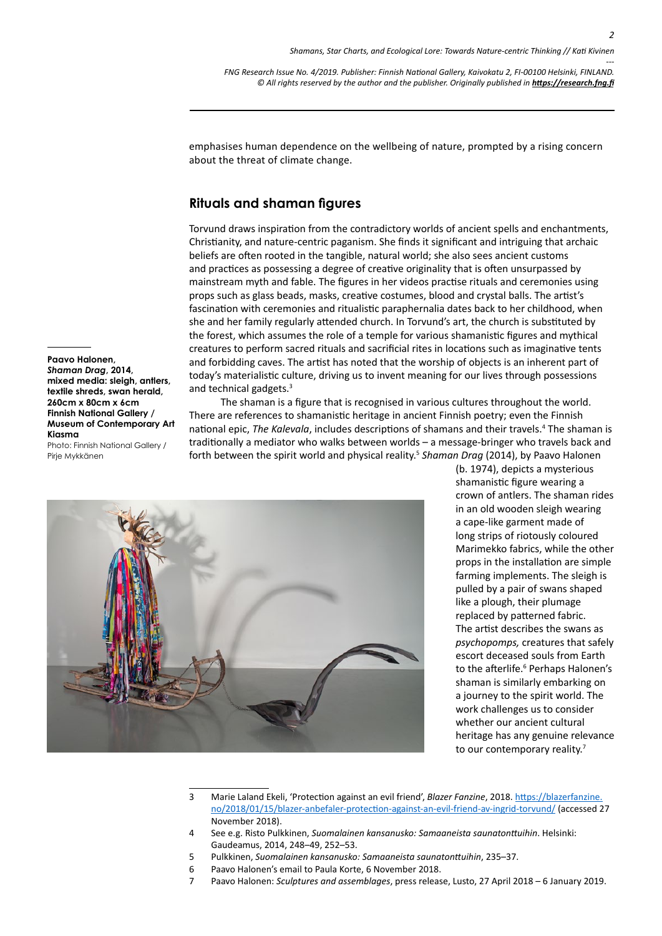emphasises human dependence on the wellbeing of nature, prompted by a rising concern about the threat of climate change.

#### **Rituals and shaman figures**

Torvund draws inspiration from the contradictory worlds of ancient spells and enchantments, Christianity, and nature-centric paganism. She finds it significant and intriguing that archaic beliefs are often rooted in the tangible, natural world; she also sees ancient customs and practices as possessing a degree of creative originality that is often unsurpassed by mainstream myth and fable. The figures in her videos practise rituals and ceremonies using props such as glass beads, masks, creative costumes, blood and crystal balls. The artist's fascination with ceremonies and ritualistic paraphernalia dates back to her childhood, when she and her family regularly attended church. In Torvund's art, the church is substituted by the forest, which assumes the role of a temple for various shamanistic figures and mythical creatures to perform sacred rituals and sacrificial rites in locations such as imaginative tents and forbidding caves. The artist has noted that the worship of objects is an inherent part of today's materialistic culture, driving us to invent meaning for our lives through possessions and technical gadgets.<sup>3</sup>

The shaman is a figure that is recognised in various cultures throughout the world. There are references to shamanistic heritage in ancient Finnish poetry; even the Finnish national epic, The Kalevala, includes descriptions of shamans and their travels.<sup>4</sup> The shaman is traditionally a mediator who walks between worlds – a message-bringer who travels back and forth between the spirit world and physical reality.<sup>5</sup> Shaman Drag (2014), by Paavo Halonen



Photo: Finnish National Gallery / Pirje Mykkänen



(b. 1974), depicts a mysterious shamanistic figure wearing a crown of antlers. The shaman rides in an old wooden sleigh wearing a cape-like garment made of long strips of riotously coloured Marimekko fabrics, while the other props in the installation are simple farming implements. The sleigh is pulled by a pair of swans shaped like a plough, their plumage replaced by patterned fabric. The artist describes the swans as *psychopomps,* creatures that safely escort deceased souls from Earth to the afterlife.<sup>6</sup> Perhaps Halonen's shaman is similarly embarking on a journey to the spirit world. The work challenges us to consider whether our ancient cultural heritage has any genuine relevance to our contemporary reality.<sup>7</sup>

<sup>3</sup> Marie Laland Ekeli, 'Protection against an evil friend', *Blazer Fanzine*, 2018. [https://blazerfanzine.](https://blazerfanzine.no/2018/01/15/blazer-anbefaler-protection-against-an-evil-friend-av-ingrid-torvund/) [no/2018/01/15/blazer-anbefaler-protection-against-an-evil-friend-av-ingrid-torvund/](https://blazerfanzine.no/2018/01/15/blazer-anbefaler-protection-against-an-evil-friend-av-ingrid-torvund/) (accessed 27 November 2018).

<sup>4</sup> See e.g. Risto Pulkkinen, *Suomalainen kansanusko: Samaaneista saunatonttuihin*. Helsinki: Gaudeamus, 2014, 248–49, 252–53.

<sup>5</sup> Pulkkinen, *Suomalainen kansanusko: Samaaneista saunatonttuihin*, 235–37.

<sup>6</sup> Paavo Halonen's email to Paula Korte, 6 November 2018.

<sup>7</sup> Paavo Halonen: *Sculptures and assemblages*, press release, Lusto, 27 April 2018 – 6 January 2019.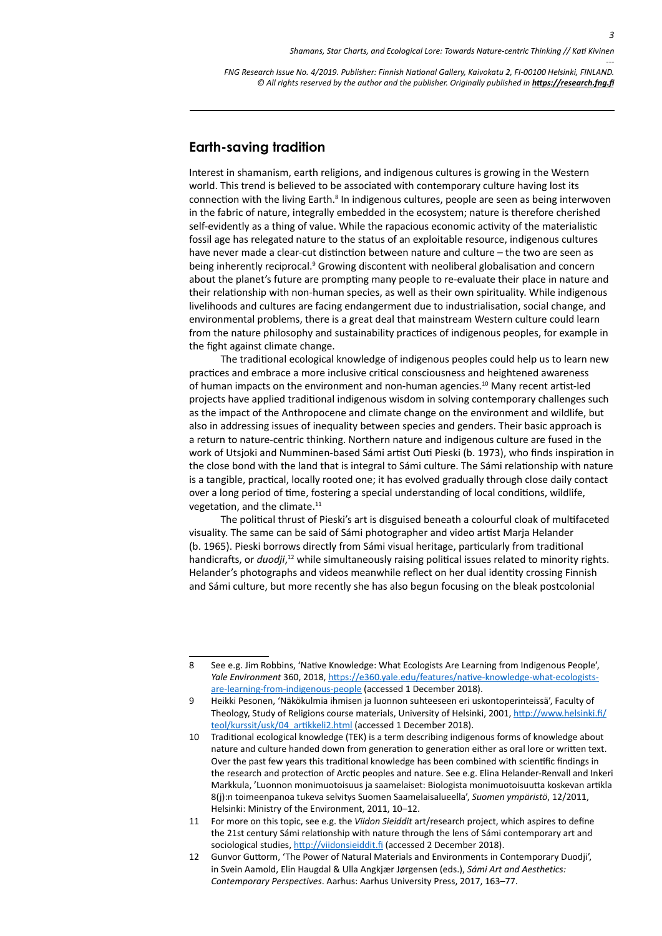#### **Earth-saving tradition**

Interest in shamanism, earth religions, and indigenous cultures is growing in the Western world. This trend is believed to be associated with contemporary culture having lost its connection with the living Earth.<sup>8</sup> In indigenous cultures, people are seen as being interwoven in the fabric of nature, integrally embedded in the ecosystem; nature is therefore cherished self-evidently as a thing of value. While the rapacious economic activity of the materialistic fossil age has relegated nature to the status of an exploitable resource, indigenous cultures have never made a clear-cut distinction between nature and culture – the two are seen as being inherently reciprocal.<sup>9</sup> Growing discontent with neoliberal globalisation and concern about the planet's future are prompting many people to re-evaluate their place in nature and their relationship with non-human species, as well as their own spirituality. While indigenous livelihoods and cultures are facing endangerment due to industrialisation, social change, and environmental problems, there is a great deal that mainstream Western culture could learn from the nature philosophy and sustainability practices of indigenous peoples, for example in the fight against climate change.

The traditional ecological knowledge of indigenous peoples could help us to learn new practices and embrace a more inclusive critical consciousness and heightened awareness of human impacts on the environment and non-human agencies.<sup>10</sup> Many recent artist-led projects have applied traditional indigenous wisdom in solving contemporary challenges such as the impact of the Anthropocene and climate change on the environment and wildlife, but also in addressing issues of inequality between species and genders. Their basic approach is a return to nature-centric thinking. Northern nature and indigenous culture are fused in the work of Utsjoki and Numminen-based Sámi artist Outi Pieski (b. 1973), who finds inspiration in the close bond with the land that is integral to Sámi culture. The Sámi relationship with nature is a tangible, practical, locally rooted one; it has evolved gradually through close daily contact over a long period of time, fostering a special understanding of local conditions, wildlife, vegetation, and the climate.<sup>11</sup>

The political thrust of Pieski's art is disguised beneath a colourful cloak of multifaceted visuality. The same can be said of Sámi photographer and video artist Marja Helander (b. 1965). Pieski borrows directly from Sámi visual heritage, particularly from traditional handicrafts, or *duodji*,<sup>12</sup> while simultaneously raising political issues related to minority rights. Helander's photographs and videos meanwhile reflect on her dual identity crossing Finnish and Sámi culture, but more recently she has also begun focusing on the bleak postcolonial

<sup>8</sup> See e.g. Jim Robbins, 'Native Knowledge: What Ecologists Are Learning from Indigenous People', *Yale Environment* 360, 2018, [https://e360.yale.edu/features/native-knowledge-what-ecologists](https://e360.yale.edu/features/native-knowledge-what-ecologists-are-learning-from-indigenous-people)[are-learning-from-indigenous-people](https://e360.yale.edu/features/native-knowledge-what-ecologists-are-learning-from-indigenous-people) (accessed 1 December 2018).

<sup>9</sup> Heikki Pesonen, 'Näkökulmia ihmisen ja luonnon suhteeseen eri uskontoperinteissä', Faculty of Theology, Study of Religions course materials, University of Helsinki, 2001, [http://www.helsinki.fi/](http://www.helsinki.fi/teol/kurssit/usk/04_artikkeli2.html) [teol/kurssit/usk/04\\_artikkeli2.html](http://www.helsinki.fi/teol/kurssit/usk/04_artikkeli2.html) (accessed 1 December 2018).

<sup>10</sup> Traditional ecological knowledge (TEK) is a term describing indigenous forms of knowledge about nature and culture handed down from generation to generation either as oral lore or written text. Over the past few years this traditional knowledge has been combined with scientific findings in the research and protection of Arctic peoples and nature. See e.g. Elina Helander-Renvall and Inkeri Markkula, 'Luonnon monimuotoisuus ja saamelaiset: Biologista monimuotoisuutta koskevan artikla 8(j):n toimeenpanoa tukeva selvitys Suomen Saamelaisalueella', *Suomen ympäristö*, 12/2011, Helsinki: Ministry of the Environment, 2011, 10–12.

<sup>11</sup> For more on this topic, see e.g. the *Viidon Sieiddit* art/research project, which aspires to define the 21st century Sámi relationship with nature through the lens of Sámi contemporary art and sociological studies,<http://viidonsieiddit.fi>(accessed 2 December 2018).

<sup>12</sup> Gunvor Guttorm, 'The Power of Natural Materials and Environments in Contemporary Duodji', in Svein Aamold, Elin Haugdal & Ulla Angkjær Jørgensen (eds.), *Sámi Art and Aesthetics: Contemporary Perspectives*. Aarhus: Aarhus University Press, 2017, 163–77.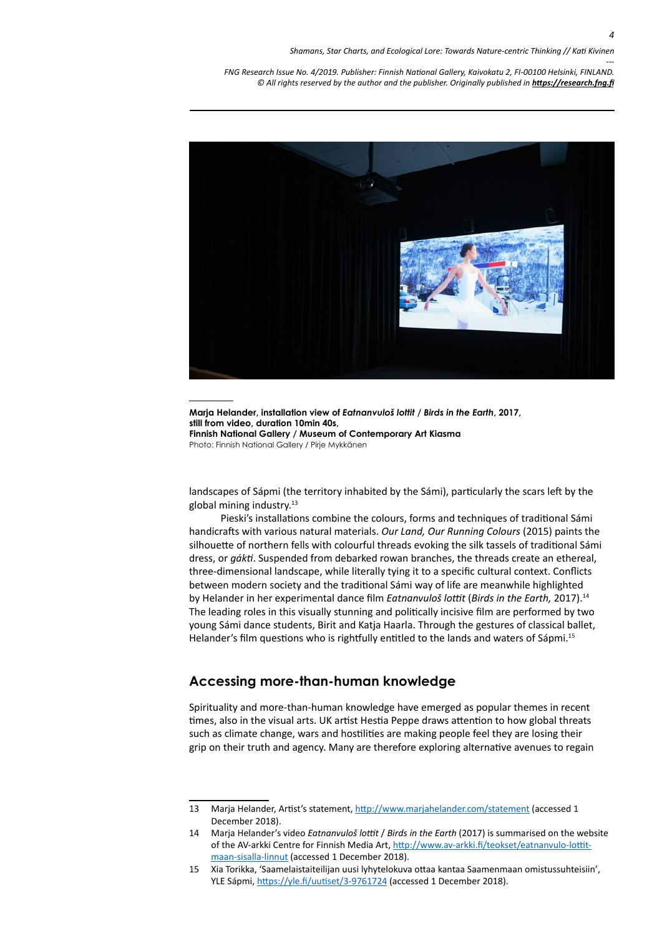

**Marja Helander, installation view of** *Eatnanvuloš lottit / Birds in the Earth***, 2017, still from video, duration 10min 40s, Finnish National Gallery / Museum of Contemporary Art Kiasma** Photo: Finnish National Gallery / Pirje Mykkänen

landscapes of Sápmi (the territory inhabited by the Sámi), particularly the scars left by the global mining industry.13

Pieski's installations combine the colours, forms and techniques of traditional Sámi handicrafts with various natural materials. *Our Land, Our Running Colours* (2015) paints the silhouette of northern fells with colourful threads evoking the silk tassels of traditional Sámi dress, or *gákti*. Suspended from debarked rowan branches, the threads create an ethereal, three-dimensional landscape, while literally tying it to a specific cultural context. Conflicts between modern society and the traditional Sámi way of life are meanwhile highlighted by Helander in her experimental dance film *Eatnanvuloš lottit* (*Birds in the Earth,* 2017).14 The leading roles in this visually stunning and politically incisive film are performed by two young Sámi dance students, Birit and Katja Haarla. Through the gestures of classical ballet, Helander's film questions who is rightfully entitled to the lands and waters of Sápmi.<sup>15</sup>

#### **Accessing more-than-human knowledge**

Spirituality and more-than-human knowledge have emerged as popular themes in recent times, also in the visual arts. UK artist Hestia Peppe draws attention to how global threats such as climate change, wars and hostilities are making people feel they are losing their grip on their truth and agency. Many are therefore exploring alternative avenues to regain

<sup>13</sup> Marja Helander, Artist's statement, <http://www.marjahelander.com/statement> (accessed 1 December 2018).

<sup>14</sup> Marja Helander's video *Eatnanvuloš lottit* / *Birds in the Earth* (2017) is summarised on the website of the AV-arkki Centre for Finnish Media Art, [http://www.av-arkki.fi/teokset/eatnanvulo-lottit](http://www.av-arkki.fi/teokset/eatnanvulo-lottit-maan-sisalla-linnut)[maan-sisalla-linnut](http://www.av-arkki.fi/teokset/eatnanvulo-lottit-maan-sisalla-linnut) (accessed 1 December 2018).

<sup>15</sup> Xia Torikka, 'Saamelaistaiteilijan uusi lyhytelokuva ottaa kantaa Saamenmaan omistussuhteisiin', YLE Sápmi,<https://yle.fi/uutiset/3-9761724> (accessed 1 December 2018).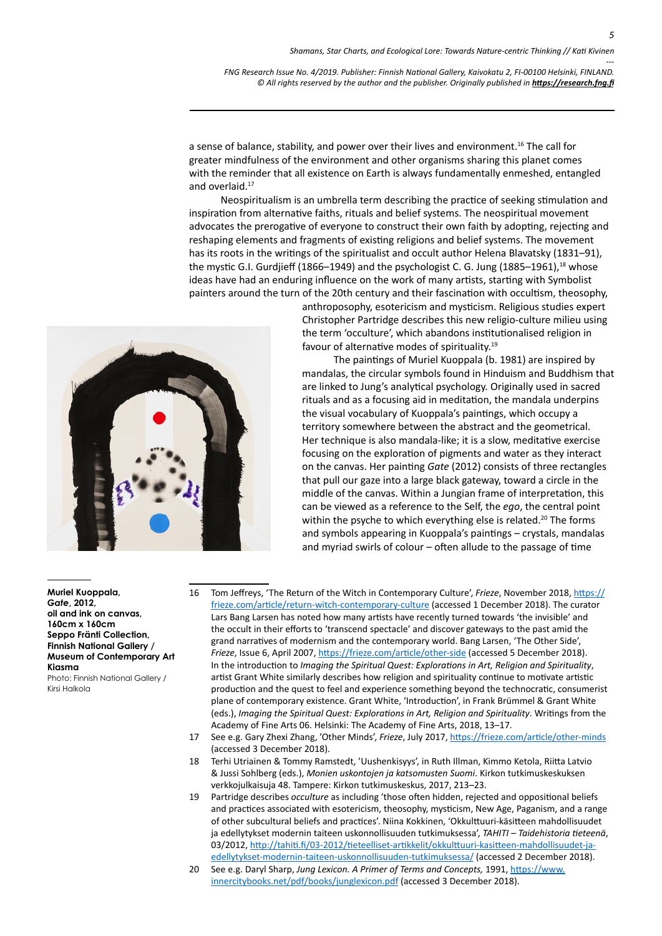a sense of balance, stability, and power over their lives and environment.<sup>16</sup> The call for greater mindfulness of the environment and other organisms sharing this planet comes with the reminder that all existence on Earth is always fundamentally enmeshed, entangled and overlaid.<sup>17</sup>

Neospiritualism is an umbrella term describing the practice of seeking stimulation and inspiration from alternative faiths, rituals and belief systems. The neospiritual movement advocates the prerogative of everyone to construct their own faith by adopting, rejecting and reshaping elements and fragments of existing religions and belief systems. The movement has its roots in the writings of the spiritualist and occult author Helena Blavatsky (1831–91), the mystic G.I. Gurdjieff (1866–1949) and the psychologist C. G. Jung (1885–1961),<sup>18</sup> whose ideas have had an enduring influence on the work of many artists, starting with Symbolist painters around the turn of the 20th century and their fascination with occultism, theosophy,



anthroposophy, esotericism and mysticism. Religious studies expert Christopher Partridge describes this new religio-culture milieu using the term 'occulture', which abandons institutionalised religion in favour of alternative modes of spirituality.19

The paintings of Muriel Kuoppala (b. 1981) are inspired by mandalas, the circular symbols found in Hinduism and Buddhism that are linked to Jung's analytical psychology. Originally used in sacred rituals and as a focusing aid in meditation, the mandala underpins the visual vocabulary of Kuoppala's paintings, which occupy a territory somewhere between the abstract and the geometrical. Her technique is also mandala-like; it is a slow, meditative exercise focusing on the exploration of pigments and water as they interact on the canvas. Her painting *Gate* (2012) consists of three rectangles that pull our gaze into a large black gateway, toward a circle in the middle of the canvas. Within a Jungian frame of interpretation, this can be viewed as a reference to the Self, the *ego*, the central point within the psyche to which everything else is related.<sup>20</sup> The forms and symbols appearing in Kuoppala's paintings – crystals, mandalas and myriad swirls of colour – often allude to the passage of time

- 16 Tom Jeffreys, 'The Return of the Witch in Contemporary Culture', *Frieze*, November 2018, [https://](https://frieze.com/article/return-witch-contemporary-culture) [frieze.com/article/return-witch-contemporary-culture](https://frieze.com/article/return-witch-contemporary-culture) (accessed 1 December 2018). The curator Lars Bang Larsen has noted how many artists have recently turned towards 'the invisible' and the occult in their efforts to 'transcend spectacle' and discover gateways to the past amid the grand narratives of modernism and the contemporary world. Bang Larsen, 'The Other Side', *Frieze*, Issue 6, April 2007,<https://frieze.com/article/other-side> (accessed 5 December 2018). In the introduction to *Imaging the Spiritual Quest: Explorations in Art, Religion and Spirituality*, artist Grant White similarly describes how religion and spirituality continue to motivate artistic production and the quest to feel and experience something beyond the technocratic, consumerist plane of contemporary existence. Grant White, 'Introduction', in Frank Brümmel & Grant White (eds.), *Imaging the Spiritual Quest: Explorations in Art, Religion and Spirituality*. Writings from the Academy of Fine Arts 06. Helsinki: The Academy of Fine Arts, 2018, 13–17.
- 17 See e.g. Gary Zhexi Zhang, 'Other Minds', *Frieze*, July 2017, <https://frieze.com/article/other-minds> (accessed 3 December 2018).
- 18 Terhi Utriainen & Tommy Ramstedt, 'Uushenkisyys', in Ruth Illman, Kimmo Ketola, Riitta Latvio & Jussi Sohlberg (eds.), *Monien uskontojen ja katsomusten Suomi*. Kirkon tutkimuskeskuksen verkkojulkaisuja 48. Tampere: Kirkon tutkimuskeskus, 2017, 213–23.
- 19 Partridge describes *occulture* as including 'those often hidden, rejected and oppositional beliefs and practices associated with esotericism, theosophy, mysticism, New Age, Paganism, and a range of other subcultural beliefs and practices'. Niina Kokkinen, 'Okkulttuuri-käsitteen mahdollisuudet ja edellytykset modernin taiteen uskonnollisuuden tutkimuksessa', *TAHITI – Taidehistoria tieteenä*, 03/2012, [http://tahiti.fi/03-2012/tieteelliset-artikkelit/okkulttuuri-kasitteen-mahdollisuudet-ja](http://tahiti.fi/03-2012/tieteelliset-artikkelit/okkulttuuri-kasitteen-mahdollisuudet-ja-edellytykset-modernin-taiteen-uskonnollisuuden-tutkimuksessa/)[edellytykset-modernin-taiteen-uskonnollisuuden-tutkimuksessa/](http://tahiti.fi/03-2012/tieteelliset-artikkelit/okkulttuuri-kasitteen-mahdollisuudet-ja-edellytykset-modernin-taiteen-uskonnollisuuden-tutkimuksessa/) (accessed 2 December 2018).
- 20 See e.g. Daryl Sharp, *Jung Lexicon. A Primer of Terms and Concepts,* 1991, [https://www.](https://www.innercitybooks.net/pdf/books/junglexicon.pdf) [innercitybooks.net/pdf/books/junglexicon.pdf](https://www.innercitybooks.net/pdf/books/junglexicon.pdf) (accessed 3 December 2018).

**Muriel Kuoppala,**  *Gate***, 2012, oil and ink on canvas, 160cm x 160cm Seppo Fränti Collection, Finnish National Gallery / Museum of Contemporary Art Kiasma** Photo: Finnish National Gallery /

Kirsi Halkola